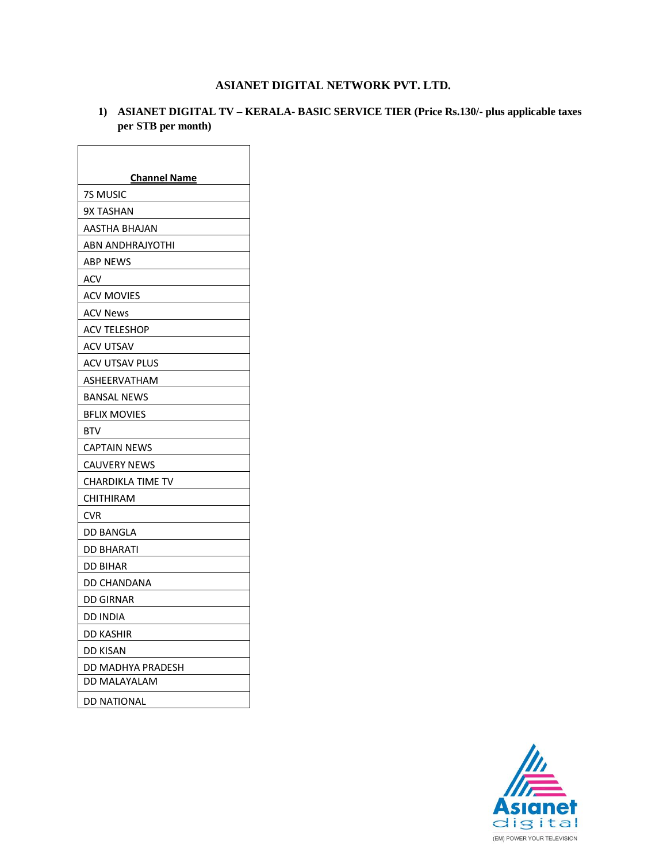## **ASIANET DIGITAL NETWORK PVT. LTD.**

## **1) ASIANET DIGITAL TV – KERALA- BASIC SERVICE TIER (Price Rs.130/- plus applicable taxes per STB per month)**

| <b>Channel Name</b> |
|---------------------|
| 7S MUSIC            |
| <b>9X TASHAN</b>    |
| AASTHA BHAJAN       |
| ABN ANDHRAJYOTHI    |
| ABP NEWS            |
| ACV                 |
| ACV MOVIES          |
| ACV News            |
| ACV TELESHOP        |
| ACV UTSAV           |
| ACV UTSAV PLUS      |
| ASHEERVATHAM        |
| <b>BANSAL NEWS</b>  |
| <b>BFLIX MOVIES</b> |
| BTV                 |
| <b>CAPTAIN NEWS</b> |
| CAUVERY NEWS        |
| CHARDIKLA TIME TV   |
| CHITHIRAM           |
| CVR                 |
| DD BANGLA           |
| DD BHARATI          |
| DD BIHAR            |
| DD CHANDANA         |
| DD GIRNAR           |
| DD INDIA            |
| DD KASHIR           |
| DD KISAN            |
| DD MADHYA PRADESH   |
| DD MALAYALAM        |
| DD NATIONAL         |

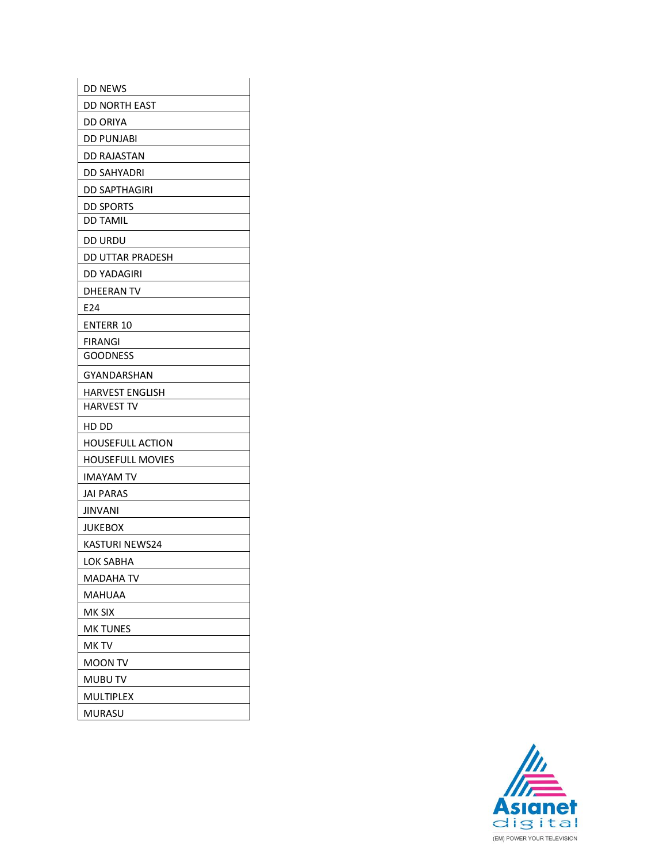| <b>DD NEWS</b>          |
|-------------------------|
| DD NORTH EAST           |
| DD ORIYA                |
| <b>DD PUNJABI</b>       |
| <b>DD RAJASTAN</b>      |
| DD SAHYADRI             |
| DD SAPTHAGIRI           |
| <b>DD SPORTS</b>        |
| <b>DD TAMIL</b>         |
| DD URDU                 |
| DD UTTAR PRADESH        |
| DD YADAGIRI             |
| DHEERAN TV              |
| E24                     |
| <b>ENTERR 10</b>        |
| <b>FIRANGI</b>          |
| <b>GOODNESS</b>         |
| GYANDARSHAN             |
| HARVEST ENGLISH         |
| <b>HARVEST TV</b>       |
| HD DD                   |
| HOUSEFULL ACTION        |
| <b>HOUSEFULL MOVIES</b> |
| IMAYAM TV               |
| JAI PARAS               |
| JINVANI                 |
| JUKEBOX                 |
| KASTURI NEWS24          |
| LOK SABHA               |
| MADAHA TV               |
| MAHUAA                  |
| mk six                  |
| MK TUNES                |
| MK TV                   |
| MOON TV                 |
| MUBU TV                 |
| MULTIPLEX               |
| MURASU                  |

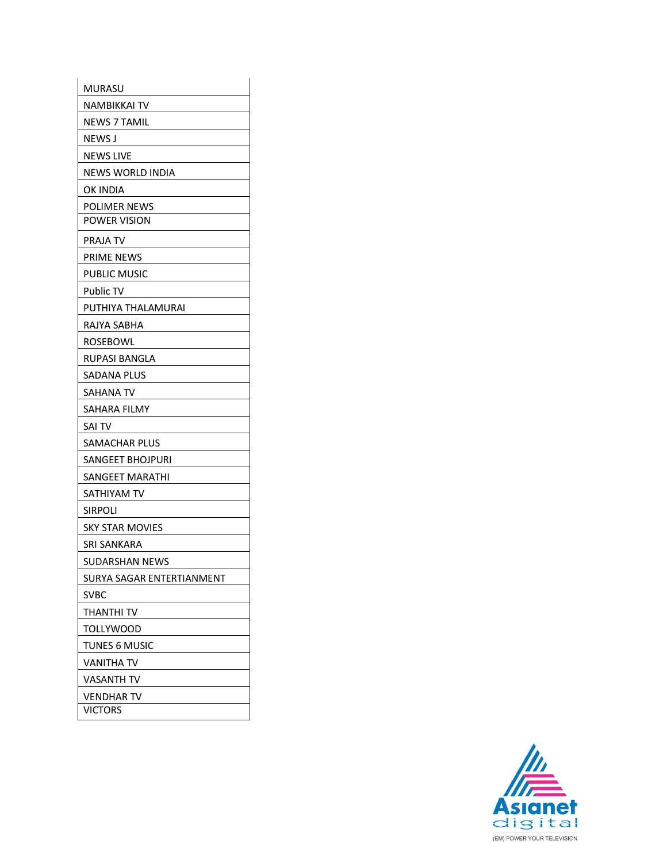| MURASU                    |
|---------------------------|
| NAMBIKKAI TV              |
| <b>NEWS 7 TAMIL</b>       |
| NEWS J                    |
| <b>NEWS LIVE</b>          |
| <b>NEWS WORLD INDIA</b>   |
| OK INDIA                  |
| <b>POLIMER NEWS</b>       |
| <b>POWER VISION</b>       |
| PRAJA TV                  |
| PRIME NEWS                |
| PUBLIC MUSIC              |
| <b>Public TV</b>          |
| PUTHIYA THALAMURAI        |
| RAJYA SABHA               |
| ROSEBOWL                  |
| RUPASI BANGLA             |
| SADANA PLUS               |
| SAHANA TV                 |
|                           |
| SAHARA FILMY              |
| sai TV                    |
| SAMACHAR PLUS             |
| SANGEET BHOJPURI          |
| SANGEET MARATHI           |
| SATHIYAM TV               |
| <b>SIRPOLI</b>            |
| SKY STAR MOVIES           |
| SRI SANKARA               |
| <b>SUDARSHAN NEWS</b>     |
| SURYA SAGAR ENTERTIANMENT |
| SVBC                      |
| THANTHI TV                |
| TOLLYWOOD                 |
| TUNES 6 MUSIC             |
| VANITHA TV                |
| VASANTH TV                |
| VENDHAR TV                |

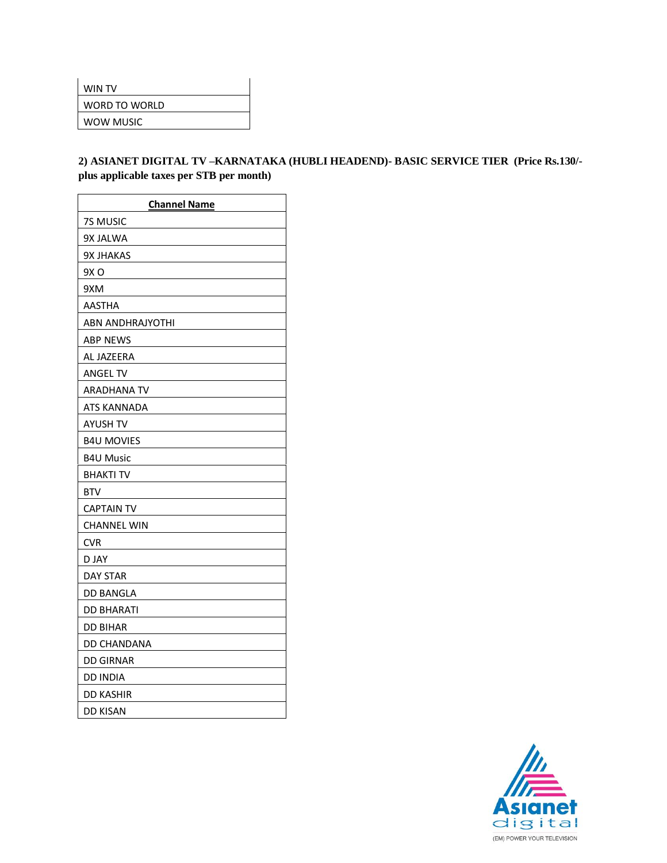| WIN TV        |
|---------------|
| WORD TO WORLD |
| WOW MUSIC     |
|               |

## **2) ASIANET DIGITAL TV –KARNATAKA (HUBLI HEADEND)- BASIC SERVICE TIER (Price Rs.130/ plus applicable taxes per STB per month)**

| <b>Channel Name</b>     |
|-------------------------|
| 7S MUSIC                |
| 9X JALWA                |
| <b>9X JHAKAS</b>        |
| 9X O                    |
| 9XM                     |
| AASTHA                  |
| <b>ABN ANDHRAJYOTHI</b> |
| <b>ABP NEWS</b>         |
| AL JAZEERA              |
| ANGEL TV                |
| ARADHANA TV             |
| ATS KANNADA             |
| AYUSH TV                |
| <b>B4U MOVIES</b>       |
| <b>B4U Music</b>        |
| BHAKTI TV               |
| <b>BTV</b>              |
| <b>CAPTAIN TV</b>       |
| <b>CHANNEL WIN</b>      |
| <b>CVR</b>              |
| D JAY                   |
| <b>DAY STAR</b>         |
| <b>DD BANGLA</b>        |
| <b>DD BHARATI</b>       |
| <b>DD BIHAR</b>         |
| DD CHANDANA             |
| <b>DD GIRNAR</b>        |
| <b>DD INDIA</b>         |
| <b>DD KASHIR</b>        |
| <b>DD KISAN</b>         |

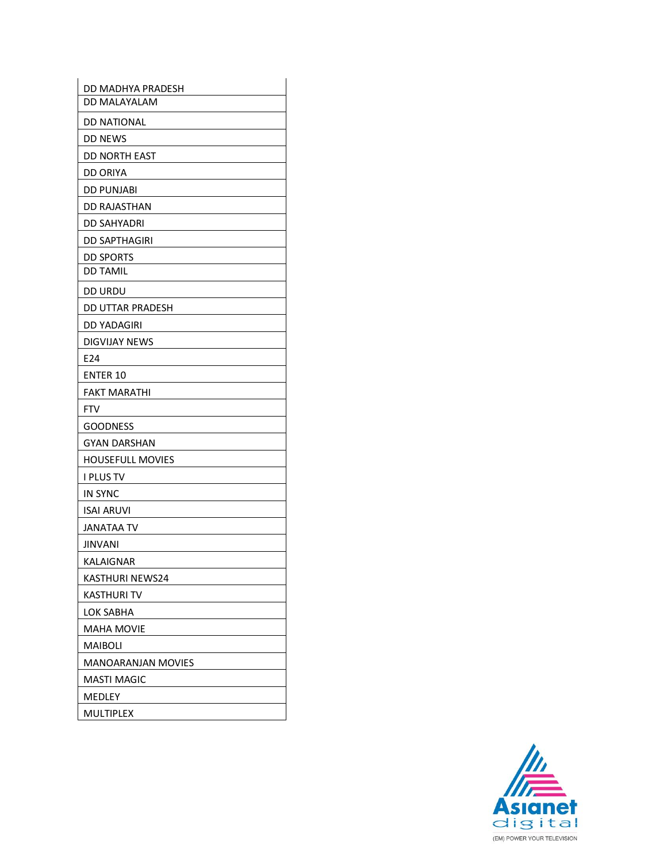| DD MADHYA PRADESH         |
|---------------------------|
| DD MALAYALAM              |
| <b>DD NATIONAL</b>        |
| <b>DD NEWS</b>            |
| <b>DD NORTH EAST</b>      |
| <b>DD ORIYA</b>           |
| <b>DD PUNJABI</b>         |
| <b>DD RAJASTHAN</b>       |
| DD SAHYADRI               |
| <b>DD SAPTHAGIRI</b>      |
| <b>DD SPORTS</b>          |
| <b>DD TAMIL</b>           |
| <b>DD URDU</b>            |
| DD UTTAR PRADESH          |
| <b>DD YADAGIRI</b>        |
| <b>DIGVIJAY NEWS</b>      |
| E24                       |
| <b>ENTER 10</b>           |
| <b>FAKT MARATHI</b>       |
| <b>FTV</b>                |
| <b>GOODNESS</b>           |
| <b>GYAN DARSHAN</b>       |
| <b>HOUSEFULL MOVIES</b>   |
| <b>I PLUS TV</b>          |
| <b>IN SYNC</b>            |
| <b>ISAI ARUVI</b>         |
| <b>JANATAA TV</b>         |
| <b>JINVANI</b>            |
| KALAIGNAR                 |
| KASTHURI NEWS24           |
| KASTHURI TV               |
| LOK SABHA                 |
| <b>MAHA MOVIE</b>         |
| MAIBOLI                   |
| <b>MANOARANJAN MOVIES</b> |
| MASTI MAGIC               |
| MEDLEY                    |
| MULTIPLEX                 |

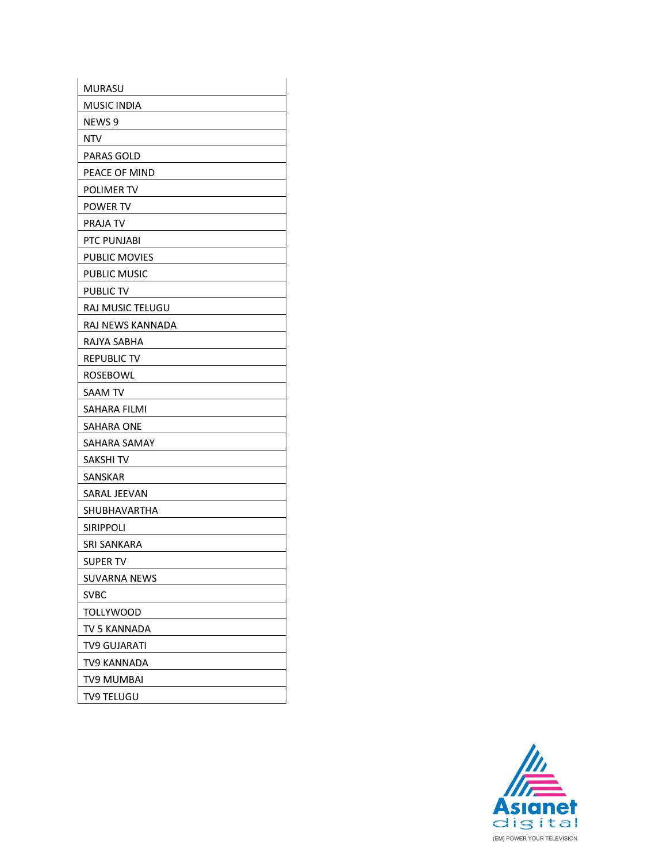| <b>MURASU</b>      |
|--------------------|
| <b>MUSIC INDIA</b> |
| NEWS 9             |
| NTV                |
| PARAS GOLD         |
| PEACE OF MIND      |
| POLIMER TV         |
| POWER TV           |
| <b>PRAJA TV</b>    |
| PTC PUNJABI        |
| PUBLIC MOVIES      |
| PUBLIC MUSIC       |
| PUBLIC TV          |
| RAJ MUSIC TELUGU   |
| RAJ NEWS KANNADA   |
| RAJYA SABHA        |
| REPUBLIC TV        |
| ROSEBOWL           |
| SAAM TV            |
| SAHARA FILMI       |
| SAHARA ONE         |
| SAHARA SAMAY       |
| SAKSHI TV          |
| SANSKAR            |
| SARAL JEEVAN       |
| SHUBHAVARTHA       |
| <b>SIRIPPOLI</b>   |
| SRI SANKARA        |
| SUPER TV           |
| SUVARNA NEWS       |
| SVBC               |
| TOLLYWOOD          |
| TV 5 KANNADA       |
| TV9 GUJARATI       |
| TV9 KANNADA        |
| TV9 MUMBAI         |
| <b>TV9 TELUGU</b>  |

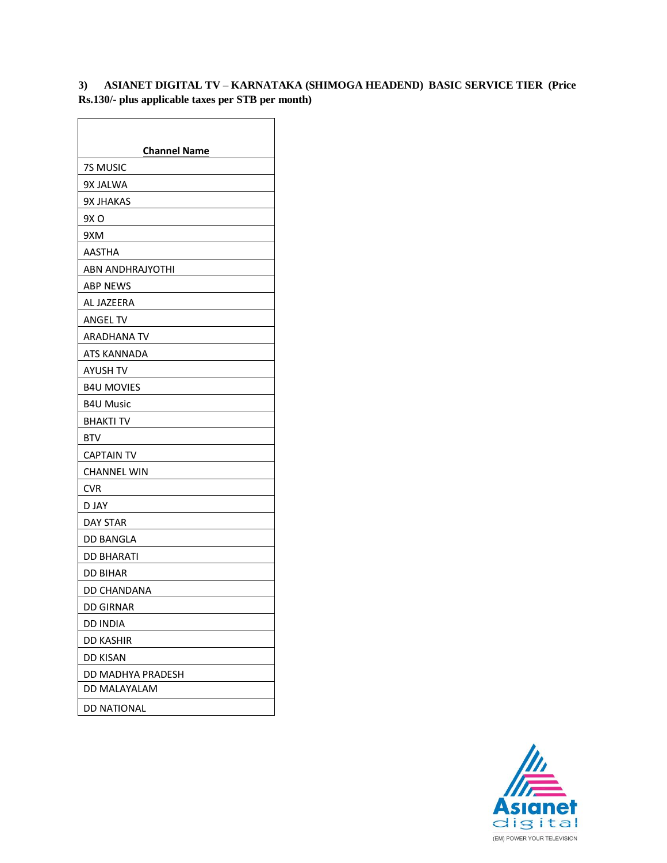## **3) ASIANET DIGITAL TV – KARNATAKA (SHIMOGA HEADEND) BASIC SERVICE TIER (Price Rs.130/- plus applicable taxes per STB per month)**

| <b>Channel Name</b> |
|---------------------|
| 7S MUSIC            |
| 9X JALWA            |
| <b>9X JHAKAS</b>    |
| 9X O                |
| 9XM                 |
| <b>AASTHA</b>       |
| ABN ANDHRAJYOTHI    |
| <b>ABP NEWS</b>     |
| AL JAZEERA          |
| ANGEL TV            |
| ARADHANA TV         |
| ATS KANNADA         |
| AYUSH TV            |
| <b>B4U MOVIES</b>   |
| <b>B4U Music</b>    |
| <b>BHAKTI TV</b>    |
| <b>BTV</b>          |
| <b>CAPTAIN TV</b>   |
| CHANNEL WIN         |
| <b>CVR</b>          |
| D JAY               |
| DAY STAR            |
| DD BANGLA           |
| DD BHARATI          |
| DD BIHAR            |
| DD CHANDANA         |
| <b>DD GIRNAR</b>    |
| <b>DD INDIA</b>     |
| <b>DD KASHIR</b>    |
| <b>DD KISAN</b>     |
| DD MADHYA PRADESH   |
| DD MALAYALAM        |
| DD NATIONAL         |

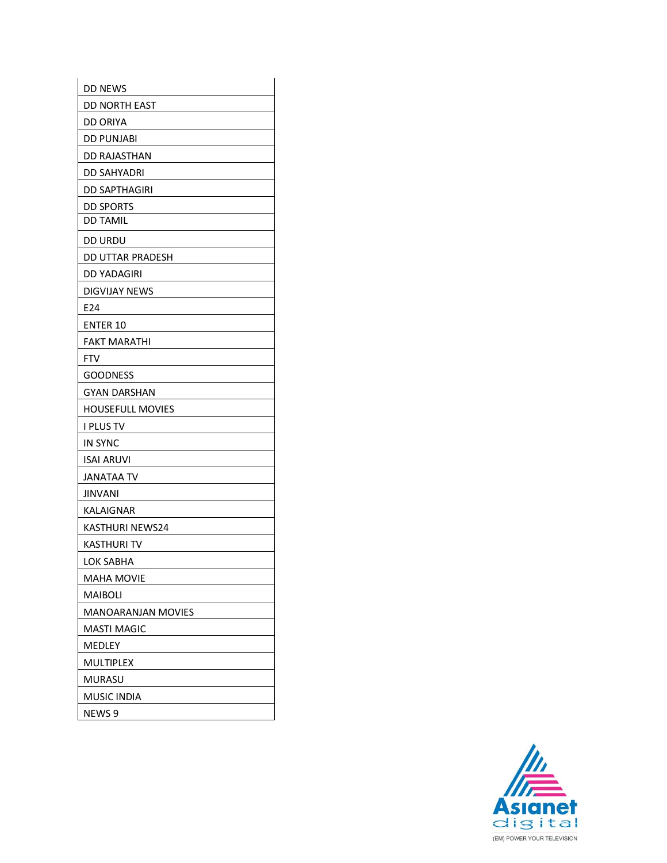| <b>DD NEWS</b>          |
|-------------------------|
| DD NORTH EAST           |
| DD ORIYA                |
| DD PUNJABI              |
| DD RAJASTHAN            |
| DD SAHYADRI             |
| DD SAPTHAGIRI           |
| DD SPORTS               |
| <b>DD TAMIL</b>         |
| DD URDU                 |
| DD UTTAR PRADESH        |
| DD YADAGIRI             |
| DIGVIJAY NEWS           |
| E24                     |
| <b>ENTER 10</b>         |
| FAKT MARATHI            |
| FTV                     |
| GOODNESS                |
| GYAN DARSHAN            |
| <b>HOUSEFULL MOVIES</b> |
| I PLUS TV               |
| <b>IN SYNC</b>          |
| ISAI ARUVI              |
| JANATAA TV              |
| JINVANI                 |
| KALAIGNAR               |
| <b>KASTHURI NEWS24</b>  |
| KASTHURI TV             |
| LOK SABHA               |
| MAHA MOVIE              |
| MAIBOLI                 |
| MANOARANJAN MOVIES      |
| MASTI MAGIC             |
| MEDLEY                  |
| MULTIPLEX               |
| MURASU                  |
| MUSIC INDIA             |
| NEWS 9                  |

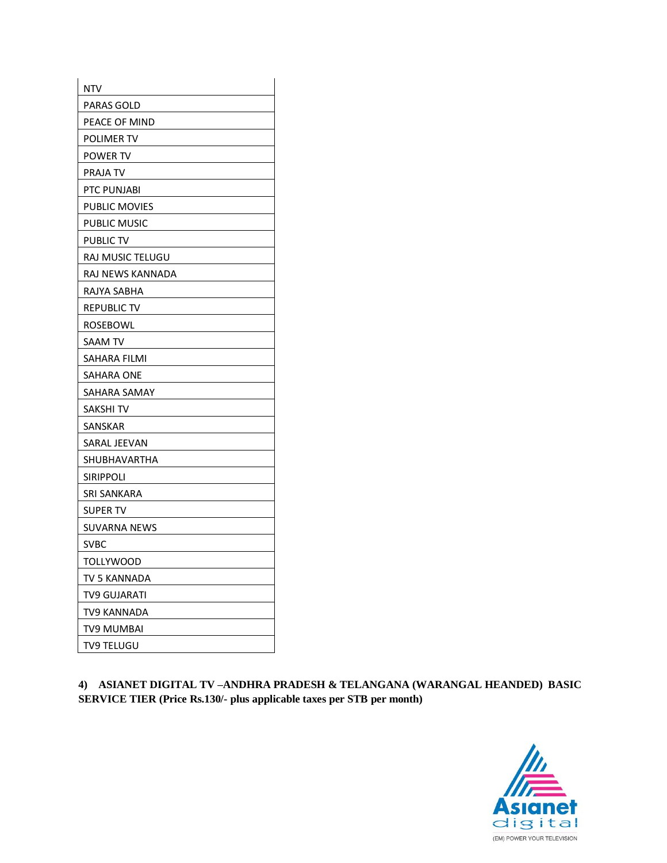| <b>NTV</b>           |
|----------------------|
| PARAS GOLD           |
| PEACE OF MIND        |
| POLIMER TV           |
| <b>POWER TV</b>      |
| PRAJA TV             |
| PTC PUNJABI          |
| <b>PUBLIC MOVIES</b> |
| PUBLIC MUSIC         |
| PUBLIC TV            |
| RAJ MUSIC TELUGU     |
| RAJ NEWS KANNADA     |
| RAJYA SABHA          |
| <b>REPUBLIC TV</b>   |
| ROSEBOWL             |
| SAAM TV              |
| SAHARA FILMI         |
| SAHARA ONE           |
| SAHARA SAMAY         |
| SAKSHI TV            |
| SANSKAR              |
| SARAL JEEVAN         |
| SHUBHAVARTHA         |
| <b>SIRIPPOLI</b>     |
| SRI SANKARA          |
| SUPER TV             |
| <b>SUVARNA NEWS</b>  |
| <b>SVBC</b>          |
| <b>TOLLYWOOD</b>     |
| TV 5 KANNADA         |
| TV9 GUJARATI         |
| TV9 KANNADA          |
| TV9 MUMBAI           |
| TV9 TELUGU           |

**4) ASIANET DIGITAL TV –ANDHRA PRADESH & TELANGANA (WARANGAL HEANDED) BASIC SERVICE TIER (Price Rs.130/- plus applicable taxes per STB per month)**

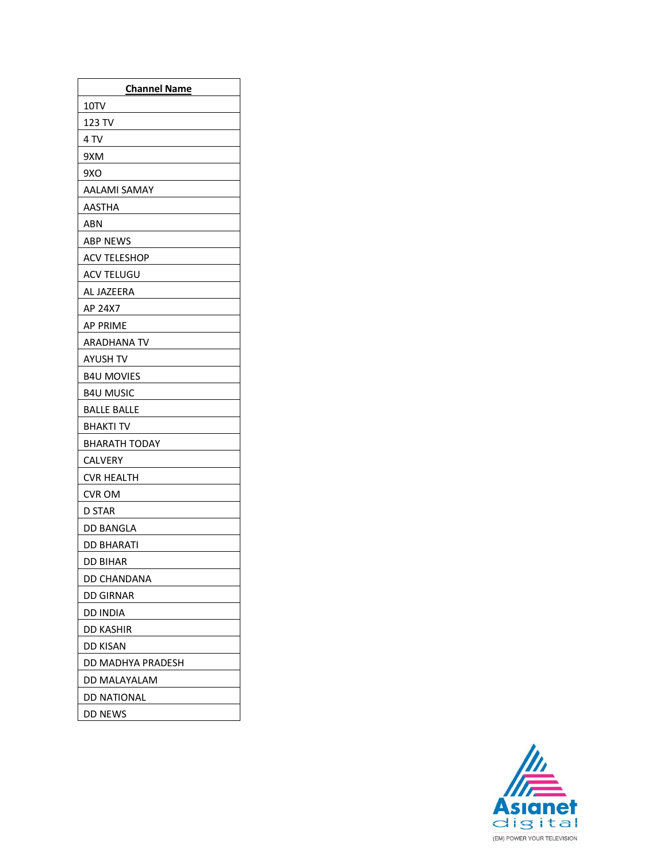| <b>Channel Name</b>  |
|----------------------|
| 10TV                 |
| 123 TV               |
| 4 TV                 |
| 9XM                  |
| 9XO                  |
| AALAMI SAMAY         |
| <b>AASTHA</b>        |
| ABN                  |
| <b>ABP NEWS</b>      |
| <b>ACV TELESHOP</b>  |
| ACV TELUGU           |
| AL JAZEERA           |
| AP 24X7              |
| AP PRIME             |
| ARADHANA TV          |
| AYUSH TV             |
| <b>B4U MOVIES</b>    |
| <b>B4U MUSIC</b>     |
| <b>BALLE BALLE</b>   |
| BHAKTI TV            |
| <b>BHARATH TODAY</b> |
| <b>CALVERY</b>       |
| CVR HEALTH           |
| CVR OM               |
| <b>D STAR</b>        |
| DD BANGLA            |
| DD BHARATI           |
| DD BIHAR             |
| DD CHANDANA          |
| DD GIRNAR            |
| DD INDIA             |
| DD KASHIR            |
| DD KISAN             |
| DD MADHYA PRADESH    |
| DD MALAYALAM         |
| DD NATIONAL          |
| DD NEWS              |

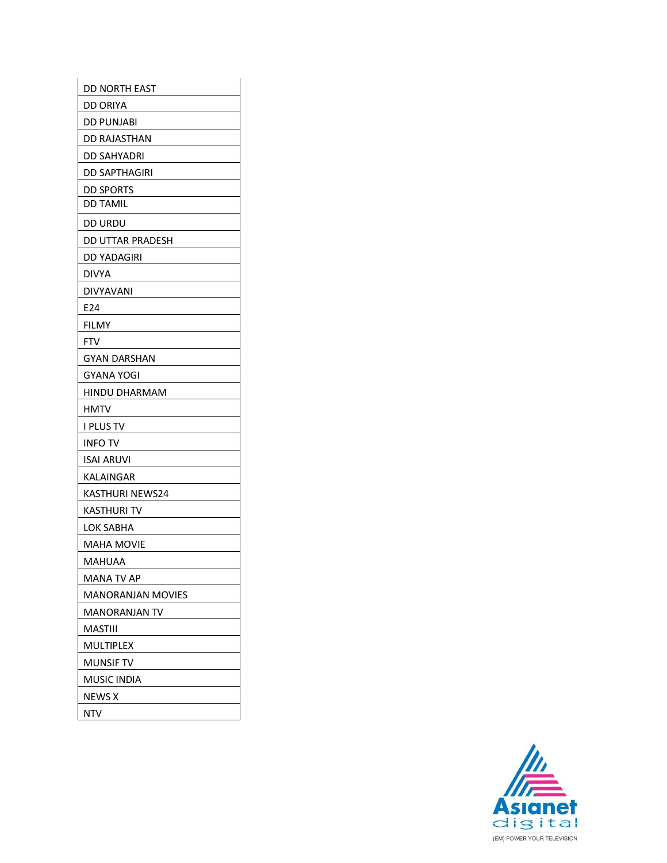| DD NORTH EAST            |
|--------------------------|
| DD ORIYA                 |
| DD PUNJABI               |
| DD RAJASTHAN             |
| DD SAHYADRI              |
| DD SAPTHAGIRI            |
| <b>DD SPORTS</b>         |
| <b>DD TAMIL</b>          |
| DD URDU                  |
| DD UTTAR PRADESH         |
| DD YADAGIRI              |
| DIVYA                    |
| <b>DIVYAVANI</b>         |
| E24                      |
| FILMY                    |
| <b>FTV</b>               |
| <b>GYAN DARSHAN</b>      |
| <b>GYANA YOGI</b>        |
| HINDU DHARMAM            |
| HMTV                     |
| I PLUS TV                |
| <b>INFO TV</b>           |
| ISAI ARUVI               |
| KALAINGAR                |
| KASTHURI NEWS24          |
| KASTHURI TV              |
| LOK SABHA                |
| MAHA MOVIE               |
| <b>MAHUAA</b>            |
| MANA TV AP               |
| <b>MANORANJAN MOVIES</b> |
| <b>MANORANJAN TV</b>     |
| MASTIII                  |
| MULTIPLEX                |
| MUNSIF TV                |
| MUSIC INDIA              |
| NEWS X                   |
| NTV.                     |